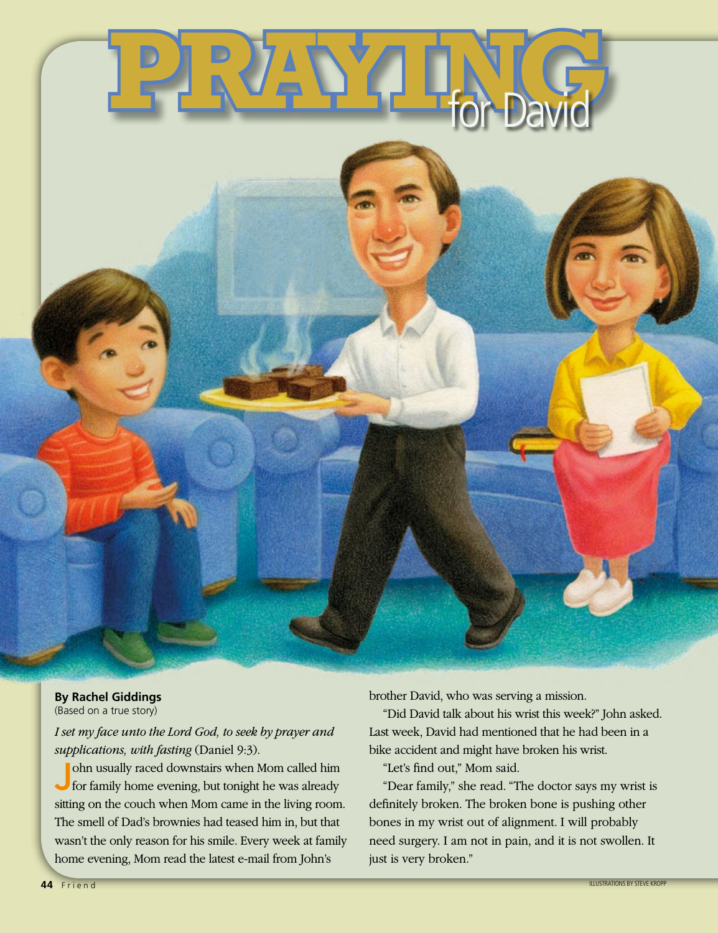

## **By Rachel Giddings**

(Based on a true story)

*I set my face unto the Lord God, to seek by prayer and supplications, with fasting* (Daniel 9:3).

ohn usually raced downstairs when Mom called him<br>for family home evening, but tonight he was already sitting on the couch when Mom came in the living room. The smell of Dad's brownies had teased him in, but that wasn't the only reason for his smile. Every week at family home evening, Mom read the latest e-mail from John's

brother David, who was serving a mission.

"Did David talk about his wrist this week?" John asked. Last week, David had mentioned that he had been in a bike accident and might have broken his wrist.

"Let's find out," Mom said.

"Dear family," she read. "The doctor says my wrist is definitely broken. The broken bone is pushing other bones in my wrist out of alignment. I will probably need surgery. I am not in pain, and it is not swollen. It just is very broken."